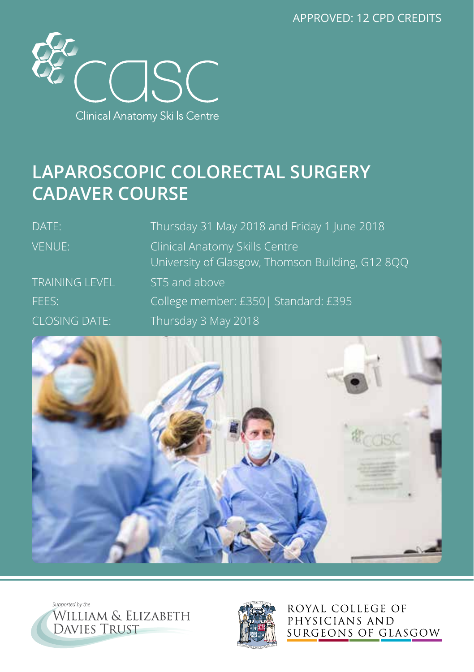APPROVED: 12 CPD CREDITS



## **LAPAROSCOPIC COLORECTAL SURGERY CADAVER COURSE**

| DATE:                 | Thursday 31 May 2018 and Friday 1 June 2018                                        |
|-----------------------|------------------------------------------------------------------------------------|
| <b>VENUE:</b>         | Clinical Anatomy Skills Centre<br>University of Glasgow, Thomson Building, G12 8QQ |
| <b>TRAINING LEVEL</b> | ST5 and above                                                                      |
| FEES:                 | College member: £350  Standard: £395                                               |
| <b>CLOSING DATE:</b>  | Thursday 3 May 2018                                                                |







ROYAL COLLEGE OF PHYSICIANS AND SURGEONS OF GLASGOW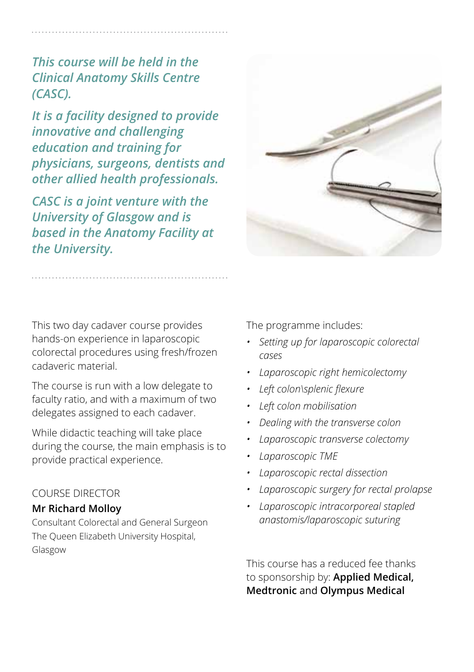*This course will be held in the Clinical Anatomy Skills Centre (CASC).* 

*It is a facility designed to provide innovative and challenging education and training for physicians, surgeons, dentists and other allied health professionals.* 

*CASC is a joint venture with the University of Glasgow and is based in the Anatomy Facility at the University.*

This two day cadaver course provides hands-on experience in laparoscopic colorectal procedures using fresh/frozen cadaveric material.

The course is run with a low delegate to faculty ratio, and with a maximum of two delegates assigned to each cadaver.

While didactic teaching will take place during the course, the main emphasis is to provide practical experience.

## COURSE DIRECTOR

## **Mr Richard Molloy**

Consultant Colorectal and General Surgeon The Queen Elizabeth University Hospital, Glasgow

The programme includes:

- *• Setting up for laparoscopic colorectal cases*
- *• Laparoscopic right hemicolectomy*
- *• Left colon\splenic flexure*
- *• Left colon mobilisation*
- *• Dealing with the transverse colon*
- *• Laparoscopic transverse colectomy*
- *• Laparoscopic TME*
- *• Laparoscopic rectal dissection*
- *• Laparoscopic surgery for rectal prolapse*
- *• Laparoscopic intracorporeal stapled anastomis/laparoscopic suturing*

This course has a reduced fee thanks to sponsorship by: **Applied Medical, Medtronic** and **Olympus Medical**